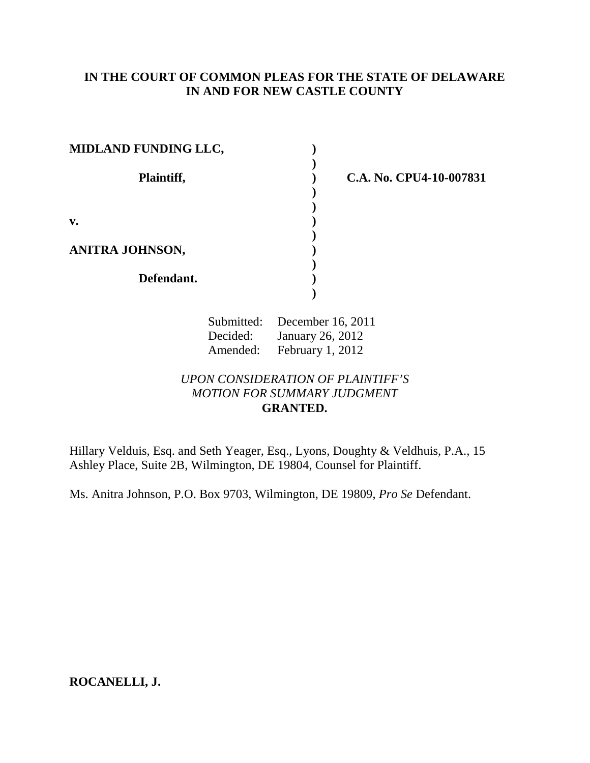## **IN THE COURT OF COMMON PLEAS FOR THE STATE OF DELAWARE IN AND FOR NEW CASTLE COUNTY**

| <b>MIDLAND FUNDING LLC,</b> |  |
|-----------------------------|--|
| Plaintiff,                  |  |
| v.                          |  |
| ANITRA JOHNSON,             |  |
| Defendant.                  |  |
|                             |  |

**Plaintiff, ) C.A. No. CPU4-10-007831** 

Submitted: December 16, 2011 Decided: January 26, 2012 Amended: February 1, 2012

*UPON CONSIDERATION OF PLAINTIFF'S MOTION FOR SUMMARY JUDGMENT*  **GRANTED.** 

Hillary Velduis, Esq. and Seth Yeager, Esq., Lyons, Doughty & Veldhuis, P.A., 15 Ashley Place, Suite 2B, Wilmington, DE 19804, Counsel for Plaintiff.

Ms. Anitra Johnson, P.O. Box 9703, Wilmington, DE 19809, *Pro Se* Defendant.

**ROCANELLI, J.**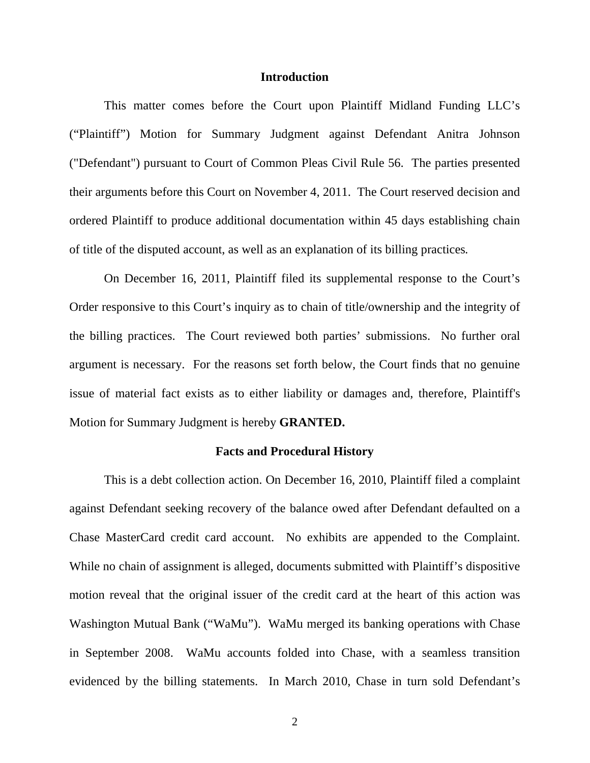#### **Introduction**

 This matter comes before the Court upon Plaintiff Midland Funding LLC's ("Plaintiff") Motion for Summary Judgment against Defendant Anitra Johnson ("Defendant") pursuant to Court of Common Pleas Civil Rule 56. The parties presented their arguments before this Court on November 4, 2011. The Court reserved decision and ordered Plaintiff to produce additional documentation within 45 days establishing chain of title of the disputed account, as well as an explanation of its billing practices*.* 

On December 16, 2011, Plaintiff filed its supplemental response to the Court's Order responsive to this Court's inquiry as to chain of title/ownership and the integrity of the billing practices. The Court reviewed both parties' submissions. No further oral argument is necessary. For the reasons set forth below, the Court finds that no genuine issue of material fact exists as to either liability or damages and, therefore, Plaintiff's Motion for Summary Judgment is hereby **GRANTED.**

#### **Facts and Procedural History**

 This is a debt collection action. On December 16, 2010, Plaintiff filed a complaint against Defendant seeking recovery of the balance owed after Defendant defaulted on a Chase MasterCard credit card account. No exhibits are appended to the Complaint. While no chain of assignment is alleged, documents submitted with Plaintiff's dispositive motion reveal that the original issuer of the credit card at the heart of this action was Washington Mutual Bank ("WaMu"). WaMu merged its banking operations with Chase in September 2008. WaMu accounts folded into Chase, with a seamless transition evidenced by the billing statements. In March 2010, Chase in turn sold Defendant's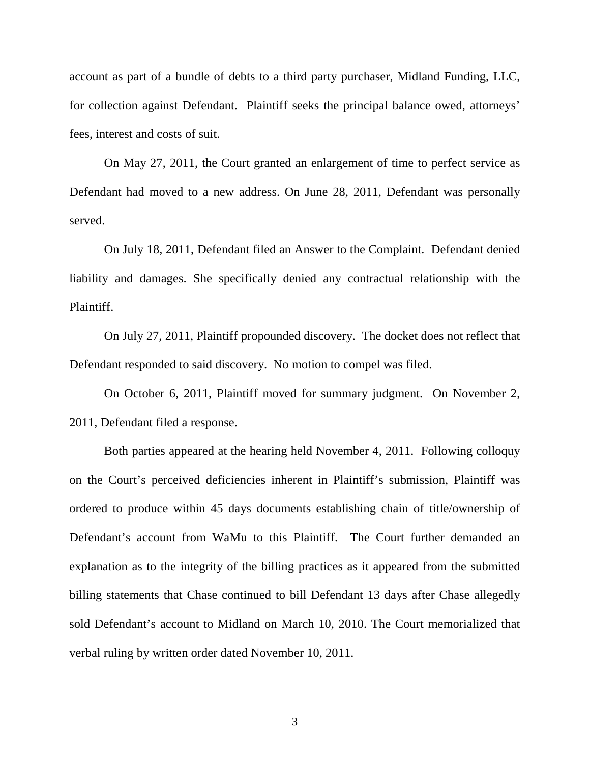account as part of a bundle of debts to a third party purchaser, Midland Funding, LLC, for collection against Defendant. Plaintiff seeks the principal balance owed, attorneys' fees, interest and costs of suit.

 On May 27, 2011, the Court granted an enlargement of time to perfect service as Defendant had moved to a new address. On June 28, 2011, Defendant was personally served.

 On July 18, 2011, Defendant filed an Answer to the Complaint. Defendant denied liability and damages. She specifically denied any contractual relationship with the Plaintiff.

 On July 27, 2011, Plaintiff propounded discovery. The docket does not reflect that Defendant responded to said discovery. No motion to compel was filed.

 On October 6, 2011, Plaintiff moved for summary judgment. On November 2, 2011, Defendant filed a response.

Both parties appeared at the hearing held November 4, 2011. Following colloquy on the Court's perceived deficiencies inherent in Plaintiff's submission, Plaintiff was ordered to produce within 45 days documents establishing chain of title/ownership of Defendant's account from WaMu to this Plaintiff. The Court further demanded an explanation as to the integrity of the billing practices as it appeared from the submitted billing statements that Chase continued to bill Defendant 13 days after Chase allegedly sold Defendant's account to Midland on March 10, 2010. The Court memorialized that verbal ruling by written order dated November 10, 2011.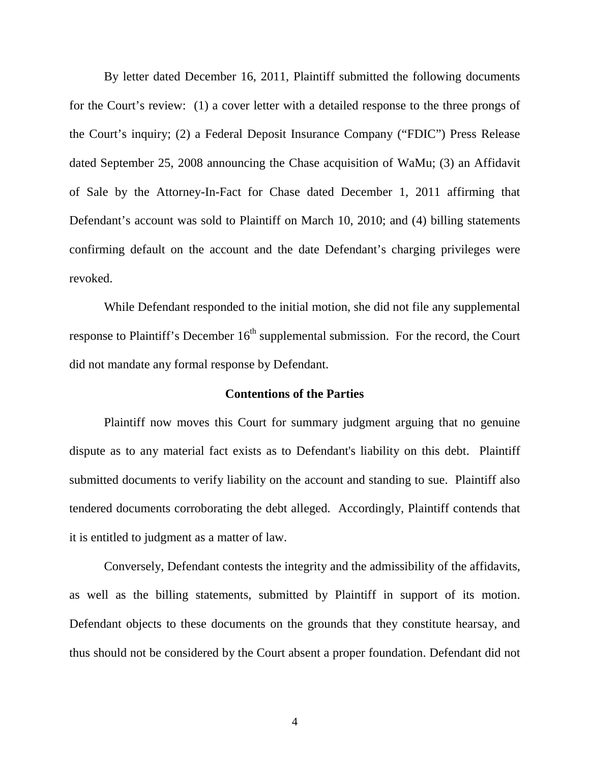By letter dated December 16, 2011, Plaintiff submitted the following documents for the Court's review: (1) a cover letter with a detailed response to the three prongs of the Court's inquiry; (2) a Federal Deposit Insurance Company ("FDIC") Press Release dated September 25, 2008 announcing the Chase acquisition of WaMu; (3) an Affidavit of Sale by the Attorney-In-Fact for Chase dated December 1, 2011 affirming that Defendant's account was sold to Plaintiff on March 10, 2010; and (4) billing statements confirming default on the account and the date Defendant's charging privileges were revoked.

While Defendant responded to the initial motion, she did not file any supplemental response to Plaintiff's December  $16<sup>th</sup>$  supplemental submission. For the record, the Court did not mandate any formal response by Defendant.

#### **Contentions of the Parties**

 Plaintiff now moves this Court for summary judgment arguing that no genuine dispute as to any material fact exists as to Defendant's liability on this debt. Plaintiff submitted documents to verify liability on the account and standing to sue. Plaintiff also tendered documents corroborating the debt alleged. Accordingly, Plaintiff contends that it is entitled to judgment as a matter of law.

 Conversely, Defendant contests the integrity and the admissibility of the affidavits, as well as the billing statements, submitted by Plaintiff in support of its motion. Defendant objects to these documents on the grounds that they constitute hearsay, and thus should not be considered by the Court absent a proper foundation. Defendant did not

4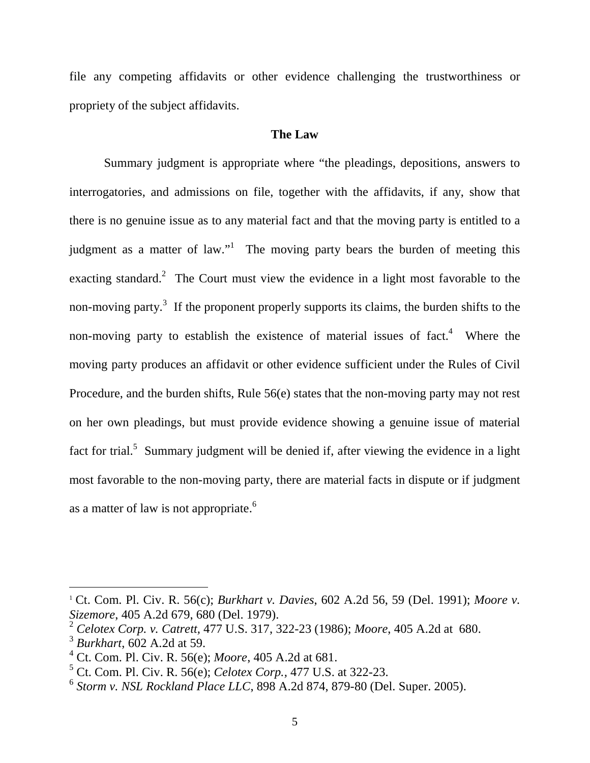file any competing affidavits or other evidence challenging the trustworthiness or propriety of the subject affidavits.

### **The Law**

 Summary judgment is appropriate where "the pleadings, depositions, answers to interrogatories, and admissions on file, together with the affidavits, if any, show that there is no genuine issue as to any material fact and that the moving party is entitled to a judgment as a matter of law."<sup>1</sup> The moving party bears the burden of meeting this exacting standard.<sup>2</sup> The Court must view the evidence in a light most favorable to the non-moving party.<sup>3</sup> If the proponent properly supports its claims, the burden shifts to the non-moving party to establish the existence of material issues of fact.<sup>4</sup> Where the moving party produces an affidavit or other evidence sufficient under the Rules of Civil Procedure, and the burden shifts, Rule 56(e) states that the non-moving party may not rest on her own pleadings, but must provide evidence showing a genuine issue of material fact for trial.<sup>5</sup> Summary judgment will be denied if, after viewing the evidence in a light most favorable to the non-moving party, there are material facts in dispute or if judgment as a matter of law is not appropriate.<sup>6</sup>

<sup>1</sup> Ct. Com. Pl. Civ. R. 56(c); *Burkhart v. Davies*, 602 A.2d 56, 59 (Del. 1991); *Moore v. Sizemore*, 405 A.2d 679, 680 (Del. 1979).

<sup>2</sup> *Celotex Corp. v. Catrett,* 477 U.S. 317, 322-23 (1986); *Moore*, 405 A.2d at 680.

<sup>3</sup> *Burkhart*, 602 A.2d at 59.

<sup>4</sup> Ct. Com. Pl. Civ. R. 56(e); *Moore*, 405 A.2d at 681.

<sup>5</sup> Ct. Com. Pl. Civ. R. 56(e); *Celotex Corp.,* 477 U.S. at 322-23.

<sup>6</sup> *Storm v. NSL Rockland Place LLC*, 898 A.2d 874, 879-80 (Del. Super. 2005).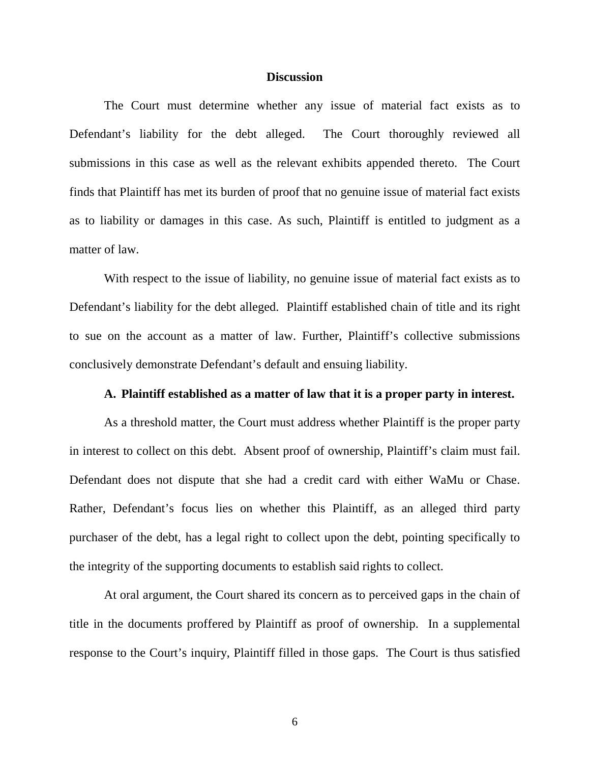#### **Discussion**

The Court must determine whether any issue of material fact exists as to Defendant's liability for the debt alleged. The Court thoroughly reviewed all submissions in this case as well as the relevant exhibits appended thereto. The Court finds that Plaintiff has met its burden of proof that no genuine issue of material fact exists as to liability or damages in this case. As such, Plaintiff is entitled to judgment as a matter of law.

 With respect to the issue of liability, no genuine issue of material fact exists as to Defendant's liability for the debt alleged. Plaintiff established chain of title and its right to sue on the account as a matter of law. Further, Plaintiff's collective submissions conclusively demonstrate Defendant's default and ensuing liability.

## **A. Plaintiff established as a matter of law that it is a proper party in interest.**

 As a threshold matter, the Court must address whether Plaintiff is the proper party in interest to collect on this debt. Absent proof of ownership, Plaintiff's claim must fail. Defendant does not dispute that she had a credit card with either WaMu or Chase. Rather, Defendant's focus lies on whether this Plaintiff, as an alleged third party purchaser of the debt, has a legal right to collect upon the debt, pointing specifically to the integrity of the supporting documents to establish said rights to collect.

At oral argument, the Court shared its concern as to perceived gaps in the chain of title in the documents proffered by Plaintiff as proof of ownership. In a supplemental response to the Court's inquiry, Plaintiff filled in those gaps. The Court is thus satisfied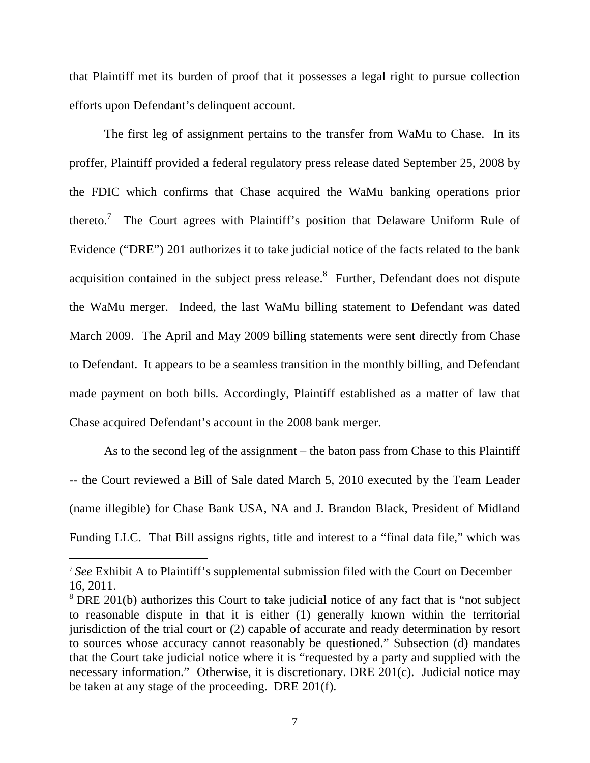that Plaintiff met its burden of proof that it possesses a legal right to pursue collection efforts upon Defendant's delinquent account.

The first leg of assignment pertains to the transfer from WaMu to Chase. In its proffer, Plaintiff provided a federal regulatory press release dated September 25, 2008 by the FDIC which confirms that Chase acquired the WaMu banking operations prior thereto.<sup>7</sup> The Court agrees with Plaintiff's position that Delaware Uniform Rule of Evidence ("DRE") 201 authorizes it to take judicial notice of the facts related to the bank acquisition contained in the subject press release.<sup>8</sup> Further, Defendant does not dispute the WaMu merger. Indeed, the last WaMu billing statement to Defendant was dated March 2009. The April and May 2009 billing statements were sent directly from Chase to Defendant. It appears to be a seamless transition in the monthly billing, and Defendant made payment on both bills. Accordingly, Plaintiff established as a matter of law that Chase acquired Defendant's account in the 2008 bank merger.

As to the second leg of the assignment – the baton pass from Chase to this Plaintiff -- the Court reviewed a Bill of Sale dated March 5, 2010 executed by the Team Leader (name illegible) for Chase Bank USA, NA and J. Brandon Black, President of Midland Funding LLC. That Bill assigns rights, title and interest to a "final data file," which was

<u>.</u>

<sup>7</sup> *See* Exhibit A to Plaintiff's supplemental submission filed with the Court on December 16, 2011.

<sup>&</sup>lt;sup>8</sup> DRE 201(b) authorizes this Court to take judicial notice of any fact that is "not subject to reasonable dispute in that it is either (1) generally known within the territorial jurisdiction of the trial court or (2) capable of accurate and ready determination by resort to sources whose accuracy cannot reasonably be questioned." Subsection (d) mandates that the Court take judicial notice where it is "requested by a party and supplied with the necessary information." Otherwise, it is discretionary. DRE 201(c). Judicial notice may be taken at any stage of the proceeding. DRE 201(f).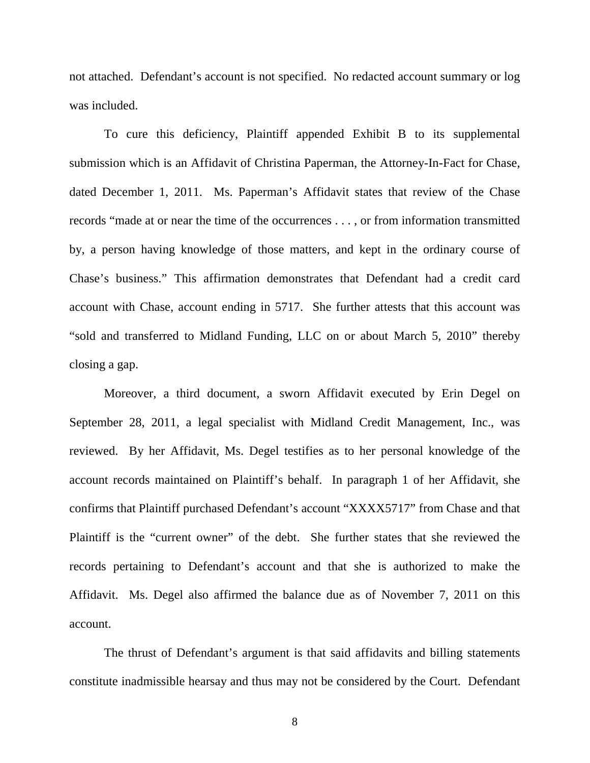not attached. Defendant's account is not specified. No redacted account summary or log was included.

To cure this deficiency, Plaintiff appended Exhibit B to its supplemental submission which is an Affidavit of Christina Paperman, the Attorney-In-Fact for Chase, dated December 1, 2011. Ms. Paperman's Affidavit states that review of the Chase records "made at or near the time of the occurrences . . . , or from information transmitted by, a person having knowledge of those matters, and kept in the ordinary course of Chase's business." This affirmation demonstrates that Defendant had a credit card account with Chase, account ending in 5717. She further attests that this account was "sold and transferred to Midland Funding, LLC on or about March 5, 2010" thereby closing a gap.

Moreover, a third document, a sworn Affidavit executed by Erin Degel on September 28, 2011, a legal specialist with Midland Credit Management, Inc., was reviewed. By her Affidavit, Ms. Degel testifies as to her personal knowledge of the account records maintained on Plaintiff's behalf. In paragraph 1 of her Affidavit, she confirms that Plaintiff purchased Defendant's account "XXXX5717" from Chase and that Plaintiff is the "current owner" of the debt. She further states that she reviewed the records pertaining to Defendant's account and that she is authorized to make the Affidavit. Ms. Degel also affirmed the balance due as of November 7, 2011 on this account.

The thrust of Defendant's argument is that said affidavits and billing statements constitute inadmissible hearsay and thus may not be considered by the Court. Defendant

8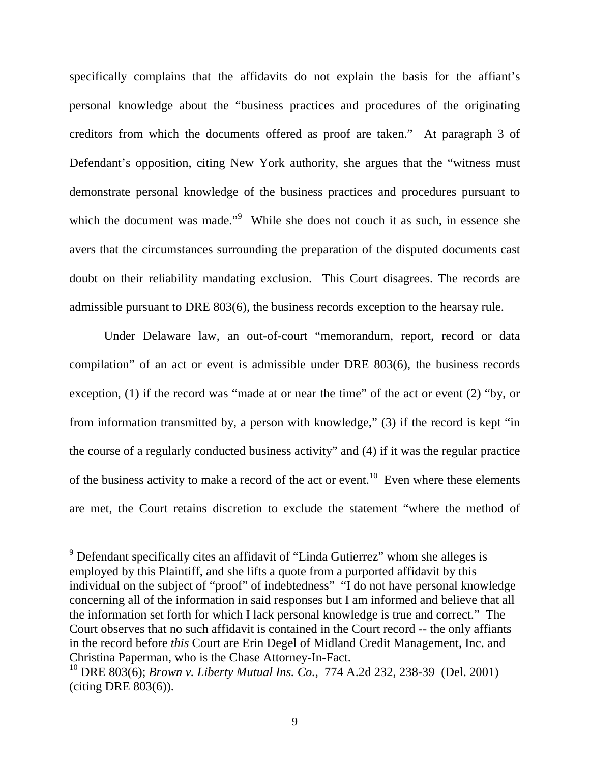specifically complains that the affidavits do not explain the basis for the affiant's personal knowledge about the "business practices and procedures of the originating creditors from which the documents offered as proof are taken." At paragraph 3 of Defendant's opposition, citing New York authority, she argues that the "witness must demonstrate personal knowledge of the business practices and procedures pursuant to which the document was made."<sup>9</sup> While she does not couch it as such, in essence she avers that the circumstances surrounding the preparation of the disputed documents cast doubt on their reliability mandating exclusion. This Court disagrees. The records are admissible pursuant to DRE 803(6), the business records exception to the hearsay rule.

Under Delaware law, an out-of-court "memorandum, report, record or data compilation" of an act or event is admissible under DRE 803(6), the business records exception, (1) if the record was "made at or near the time" of the act or event (2) "by, or from information transmitted by, a person with knowledge," (3) if the record is kept "in the course of a regularly conducted business activity" and (4) if it was the regular practice of the business activity to make a record of the act or event.<sup>10</sup> Even where these elements are met, the Court retains discretion to exclude the statement "where the method of

**SECUTE:**<br><sup>9</sup> Defendant specifically cites an affidavit of "Linda Gutierrez" whom she alleges is employed by this Plaintiff, and she lifts a quote from a purported affidavit by this individual on the subject of "proof" of indebtedness" "I do not have personal knowledge concerning all of the information in said responses but I am informed and believe that all the information set forth for which I lack personal knowledge is true and correct." The Court observes that no such affidavit is contained in the Court record -- the only affiants in the record before *this* Court are Erin Degel of Midland Credit Management, Inc. and Christina Paperman, who is the Chase Attorney-In-Fact.

<sup>10</sup> DRE 803(6); *Brown v. Liberty Mutual Ins. Co.,* 774 A.2d 232, 238-39 (Del. 2001) (citing DRE 803(6)).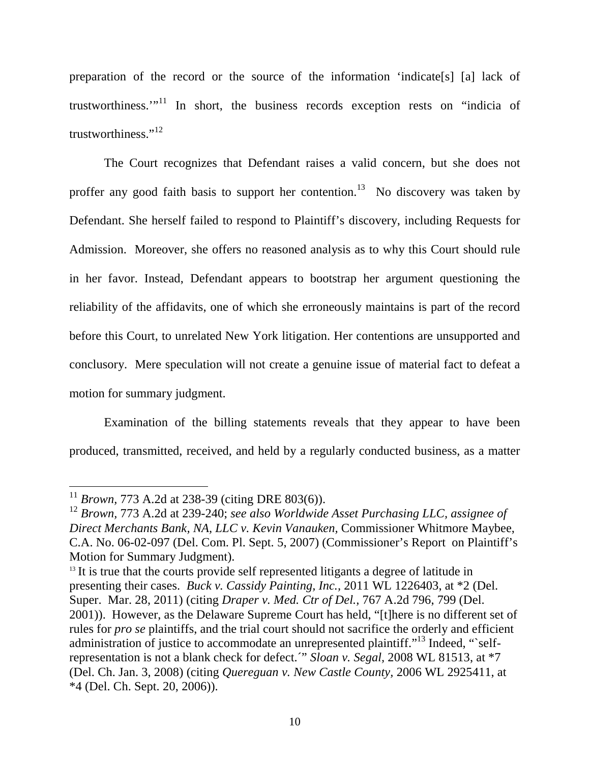preparation of the record or the source of the information 'indicate[s] [a] lack of trustworthiness."<sup>11</sup> In short, the business records exception rests on "indicia of trustworthiness."<sup>12</sup>

The Court recognizes that Defendant raises a valid concern, but she does not proffer any good faith basis to support her contention.<sup>13</sup> No discovery was taken by Defendant. She herself failed to respond to Plaintiff's discovery, including Requests for Admission. Moreover, she offers no reasoned analysis as to why this Court should rule in her favor. Instead, Defendant appears to bootstrap her argument questioning the reliability of the affidavits, one of which she erroneously maintains is part of the record before this Court, to unrelated New York litigation. Her contentions are unsupported and conclusory. Mere speculation will not create a genuine issue of material fact to defeat a motion for summary judgment.

Examination of the billing statements reveals that they appear to have been produced, transmitted, received, and held by a regularly conducted business, as a matter

<sup>11</sup> *Brown,* 773 A.2d at 238-39 (citing DRE 803(6)).

<sup>12</sup> *Brown,* 773 A.2d at 239-240; *see also Worldwide Asset Purchasing LLC, assignee of Direct Merchants Bank, NA, LLC v. Kevin Vanauken,* Commissioner Whitmore Maybee, C.A. No. 06-02-097 (Del. Com. Pl. Sept. 5, 2007) (Commissioner's Report on Plaintiff's Motion for Summary Judgment).

<sup>&</sup>lt;sup>13</sup> It is true that the courts provide self represented litigants a degree of latitude in presenting their cases. *Buck v. Cassidy Painting, Inc.,* 2011 WL 1226403, at \*2 (Del. Super. Mar. 28, 2011) (citing *Draper v. Med. Ctr of Del.,* 767 A.2d 796, 799 (Del. 2001)). However, as the Delaware Supreme Court has held, "[t]here is no different set of rules for *pro se* plaintiffs, and the trial court should not sacrifice the orderly and efficient administration of justice to accommodate an unrepresented plaintiff."<sup>13</sup> Indeed, "selfrepresentation is not a blank check for defect.´" *Sloan v. Segal,* 2008 WL 81513, at \*7 (Del. Ch. Jan. 3, 2008) (citing *Quereguan v. New Castle County,* 2006 WL 2925411, at \*4 (Del. Ch. Sept. 20, 2006)).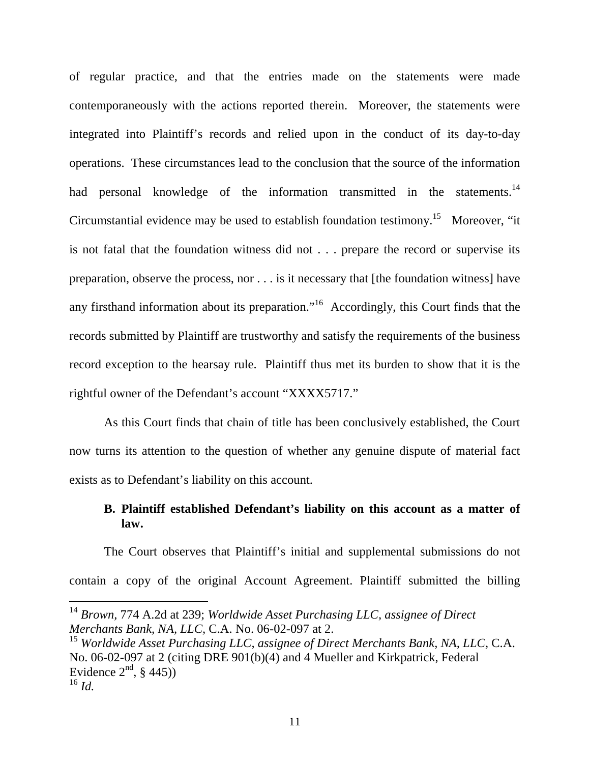of regular practice, and that the entries made on the statements were made contemporaneously with the actions reported therein. Moreover, the statements were integrated into Plaintiff's records and relied upon in the conduct of its day-to-day operations. These circumstances lead to the conclusion that the source of the information had personal knowledge of the information transmitted in the statements.<sup>14</sup> Circumstantial evidence may be used to establish foundation testimony.<sup>15</sup> Moreover, "it is not fatal that the foundation witness did not . . . prepare the record or supervise its preparation, observe the process, nor . . . is it necessary that [the foundation witness] have any firsthand information about its preparation."<sup>16</sup> Accordingly, this Court finds that the records submitted by Plaintiff are trustworthy and satisfy the requirements of the business record exception to the hearsay rule. Plaintiff thus met its burden to show that it is the rightful owner of the Defendant's account "XXXX5717."

As this Court finds that chain of title has been conclusively established, the Court now turns its attention to the question of whether any genuine dispute of material fact exists as to Defendant's liability on this account.

## **B. Plaintiff established Defendant's liability on this account as a matter of law.**

The Court observes that Plaintiff's initial and supplemental submissions do not contain a copy of the original Account Agreement. Plaintiff submitted the billing

<sup>14</sup> *Brown,* 774 A.2d at 239; *Worldwide Asset Purchasing LLC, assignee of Direct Merchants Bank, NA, LLC,* C.A. No. 06-02-097 at 2.

<sup>15</sup> *Worldwide Asset Purchasing LLC, assignee of Direct Merchants Bank, NA, LLC,* C.A. No. 06-02-097 at 2 (citing DRE 901(b)(4) and 4 Mueller and Kirkpatrick, Federal Evidence  $2<sup>nd</sup>$ , § 445)) <sup>16</sup> *Id.*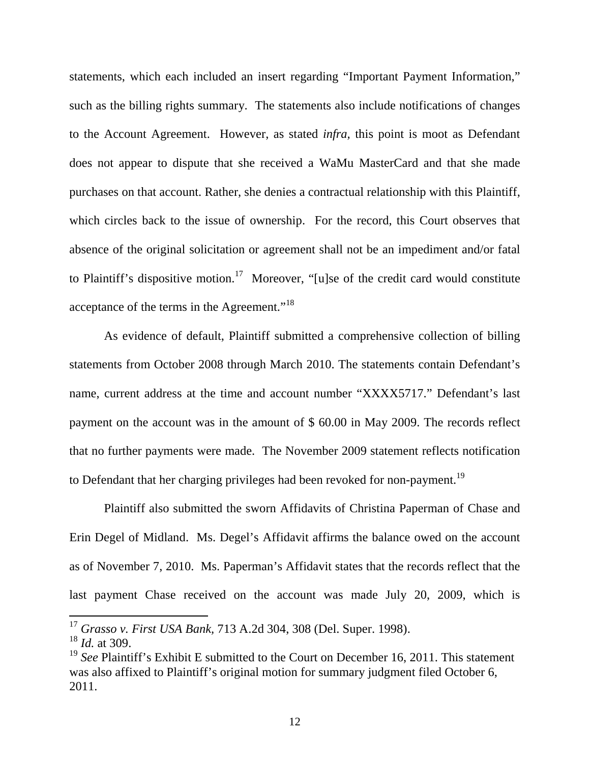statements, which each included an insert regarding "Important Payment Information," such as the billing rights summary. The statements also include notifications of changes to the Account Agreement. However, as stated *infra,* this point is moot as Defendant does not appear to dispute that she received a WaMu MasterCard and that she made purchases on that account. Rather, she denies a contractual relationship with this Plaintiff, which circles back to the issue of ownership. For the record, this Court observes that absence of the original solicitation or agreement shall not be an impediment and/or fatal to Plaintiff's dispositive motion.<sup>17</sup> Moreover, "[u]se of the credit card would constitute acceptance of the terms in the Agreement."<sup>18</sup>

As evidence of default, Plaintiff submitted a comprehensive collection of billing statements from October 2008 through March 2010. The statements contain Defendant's name, current address at the time and account number "XXXX5717." Defendant's last payment on the account was in the amount of \$ 60.00 in May 2009. The records reflect that no further payments were made. The November 2009 statement reflects notification to Defendant that her charging privileges had been revoked for non-payment.<sup>19</sup>

Plaintiff also submitted the sworn Affidavits of Christina Paperman of Chase and Erin Degel of Midland. Ms. Degel's Affidavit affirms the balance owed on the account as of November 7, 2010. Ms. Paperman's Affidavit states that the records reflect that the last payment Chase received on the account was made July 20, 2009, which is

<u>.</u>

<sup>17</sup> *Grasso v. First USA Bank,* 713 A.2d 304, 308 (Del. Super. 1998).

<sup>18</sup> *Id.* at 309.

<sup>&</sup>lt;sup>19</sup> See Plaintiff's Exhibit E submitted to the Court on December 16, 2011. This statement was also affixed to Plaintiff's original motion for summary judgment filed October 6, 2011.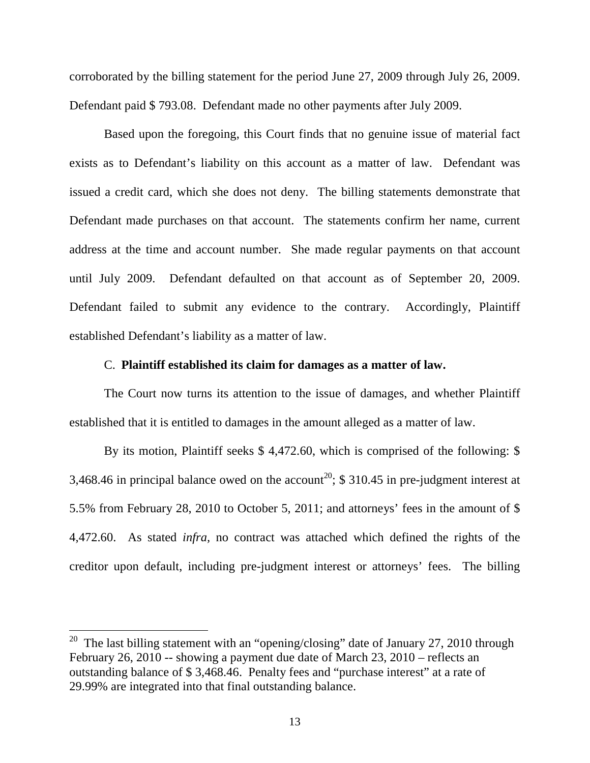corroborated by the billing statement for the period June 27, 2009 through July 26, 2009. Defendant paid \$ 793.08. Defendant made no other payments after July 2009.

Based upon the foregoing, this Court finds that no genuine issue of material fact exists as to Defendant's liability on this account as a matter of law. Defendant was issued a credit card, which she does not deny. The billing statements demonstrate that Defendant made purchases on that account. The statements confirm her name, current address at the time and account number. She made regular payments on that account until July 2009. Defendant defaulted on that account as of September 20, 2009. Defendant failed to submit any evidence to the contrary. Accordingly, Plaintiff established Defendant's liability as a matter of law.

#### C. **Plaintiff established its claim for damages as a matter of law.**

 The Court now turns its attention to the issue of damages, and whether Plaintiff established that it is entitled to damages in the amount alleged as a matter of law.

By its motion, Plaintiff seeks \$ 4,472.60, which is comprised of the following: \$ 3,468.46 in principal balance owed on the account<sup>20</sup>; \$ 310.45 in pre-judgment interest at 5.5% from February 28, 2010 to October 5, 2011; and attorneys' fees in the amount of \$ 4,472.60. As stated *infra,* no contract was attached which defined the rights of the creditor upon default, including pre-judgment interest or attorneys' fees. The billing

<u>.</u>

<sup>&</sup>lt;sup>20</sup> The last billing statement with an "opening/closing" date of January 27, 2010 through February 26, 2010 -- showing a payment due date of March 23, 2010 – reflects an outstanding balance of \$ 3,468.46. Penalty fees and "purchase interest" at a rate of 29.99% are integrated into that final outstanding balance.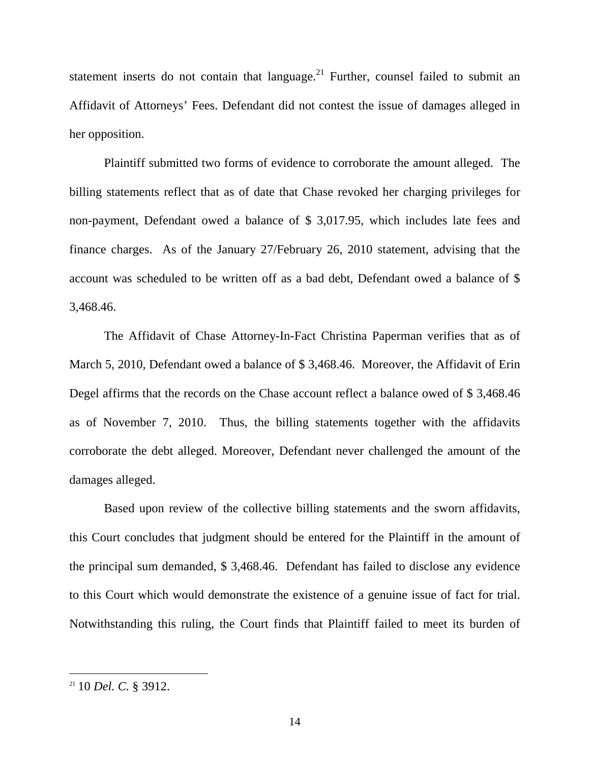statement inserts do not contain that language.<sup>21</sup> Further, counsel failed to submit an Affidavit of Attorneys' Fees. Defendant did not contest the issue of damages alleged in her opposition.

 Plaintiff submitted two forms of evidence to corroborate the amount alleged. The billing statements reflect that as of date that Chase revoked her charging privileges for non-payment, Defendant owed a balance of \$ 3,017.95, which includes late fees and finance charges. As of the January 27/February 26, 2010 statement, advising that the account was scheduled to be written off as a bad debt, Defendant owed a balance of \$ 3,468.46.

The Affidavit of Chase Attorney-In-Fact Christina Paperman verifies that as of March 5, 2010, Defendant owed a balance of \$ 3,468.46. Moreover, the Affidavit of Erin Degel affirms that the records on the Chase account reflect a balance owed of \$ 3,468.46 as of November 7, 2010. Thus, the billing statements together with the affidavits corroborate the debt alleged. Moreover, Defendant never challenged the amount of the damages alleged.

Based upon review of the collective billing statements and the sworn affidavits, this Court concludes that judgment should be entered for the Plaintiff in the amount of the principal sum demanded, \$ 3,468.46. Defendant has failed to disclose any evidence to this Court which would demonstrate the existence of a genuine issue of fact for trial. Notwithstanding this ruling, the Court finds that Plaintiff failed to meet its burden of

<sup>21</sup> 10 *Del. C.* § 3912.